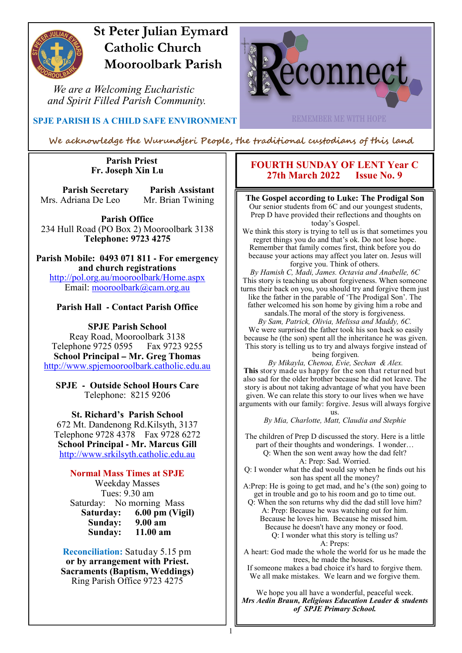

# **St Peter Julian Eymard Catholic Church Mooroolbark Parish**

 *We are a Welcoming Eucharistic and Spirit Filled Parish Community.*



 **SPJE PARISH IS A CHILD SAFE ENVIRONMENT**

**REMEMBER ME WITH HOPE** 

We acknowledge the Wurundjeri People, the traditional custodians of this land

1

#### **Parish Priest Fr. Joseph Xin Lu**

**Parish Secretary Parish Assistant** Mrs. Adriana De Leo Mr. Brian Twining

**Parish Office** 234 Hull Road (PO Box 2) Mooroolbark 3138 **Telephone: 9723 4275** 

**Parish Mobile: 0493 071 811 - For emergency and church registrations** http://pol.org.au/mooroolbark/Home.aspx Email: mooroolbark@cam.org.au

#### **Parish Hall - Contact Parish Office**

**SPJE Parish School** Reay Road, Mooroolbark 3138 Telephone 9725 0595 Fax 9723 9255 **School Principal – Mr. Greg Thomas** http://www.spjemooroolbark.catholic.edu.au

**SPJE - Outside School Hours Care** Telephone: 8215 9206

**St. Richard's Parish School** 672 Mt. Dandenong Rd.Kilsyth, 3137 Telephone 9728 4378 Fax 9728 6272 **School Principal - Mr. Marcus Gill** http://www.srkilsyth.catholic.edu.au

#### **Normal Mass Times at SPJE**

Weekday Masses Tues: 9.30 am Saturday: No morning Mass<br>Saturday: 6.00 pm (Vig **6.00 pm (Vigil)**<br>9.00 am **Sunday: 9.00 am** Sunday:

**Reconciliation:** Satuday 5.15 pm **or by arrangement with Priest. Sacraments (Baptism, Weddings)**  Ring Parish Office 9723 4275

#### **FOURTH SUNDAY OF LENT Year C 27th March 2022 Issue No. 9**

#### **The Gospel according to Luke: The Prodigal Son**

Our senior students from 6C and our youngest students, Prep D have provided their reflections and thoughts on today's Gospel.

We think this story is trying to tell us is that sometimes you regret things you do and that's ok. Do not lose hope. Remember that family comes first, think before you do because your actions may affect you later on. Jesus will forgive you. Think of others.

*By Hamish C, Madi, James. Octavia and Anabelle, 6C* This story is teaching us about forgiveness. When someone turns their back on you, you should try and forgive them just like the father in the parable of 'The Prodigal Son'. The father welcomed his son home by giving him a robe and sandals.The moral of the story is forgiveness.

*By Sam, Patrick, Olivia, Melissa and Maddy, 6C.* We were surprised the father took his son back so easily because he (the son) spent all the inheritance he was given. This story is telling us to try and always forgive instead of being forgiven*.* 

*By Mikayla, Chenoa, Evie, Sechan & Alex.* **This** story made us happy for the son that returned but also sad for the older brother because he did not leave. The story is about not taking advantage of what you have been given. We can relate this story to our lives when we have arguments with our family: forgive. Jesus will always forgive

> us. *By Mia, Charlotte, Matt, Claudia and Stephie*

The children of Prep D discussed the story. Here is a little part of their thoughts and wonderings. I wonder… Q: When the son went away how the dad felt? A: Prep: Sad. Worried.

Q: I wonder what the dad would say when he finds out his son has spent all the money?

A:Prep: He is going to get mad, and he's (the son) going to get in trouble and go to his room and go to time out.

Q: When the son returns why did the dad still love him? A: Prep: Because he was watching out for him. Because he loves him. Because he missed him. Because he doesn't have any money or food. Q: I wonder what this story is telling us? A: Preps:

A heart: God made the whole the world for us he made the trees, he made the houses.

If someone makes a bad choice it's hard to forgive them. We all make mistakes. We learn and we forgive them.

We hope you all have a wonderful, peaceful week. *Mrs Aedin Braun, Religious Education Leader & students of SPJE Primary School.*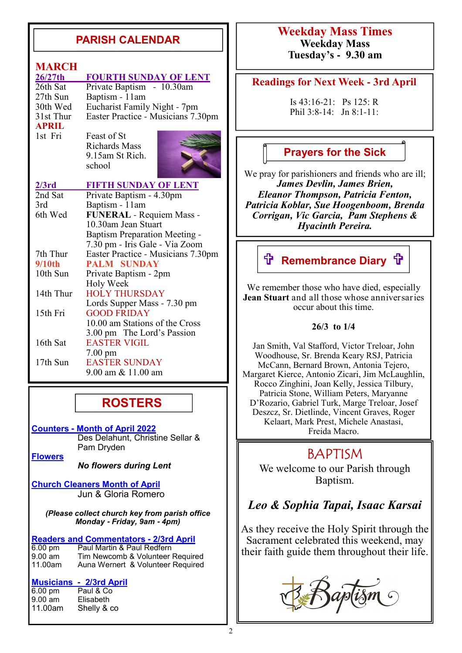### **PARISH CALENDAR**

#### **MARCH**<br>26/27th **26/27th FOURTH SUNDAY OF LENT**<br>26th Sat Private Baptism - 10.30am Private Baptism - 10.30am 27th Sun Baptism - 11am<br>30th Wed Eucharist Family 30th Wed Eucharist Family Night - 7pm<br>31st Thur Easter Practice - Musicians 7.3 Easter Practice - Musicians 7.30pm **APRIL**<br>1st Fri Feast of St Richards Mass 9.15am St Rich. school 2/3rd FIFTH SUNDAY OF LENT<br>
2nd Sat Private Baptism - 4.30pm Private Baptism - 4.30pm 3rd Baptism - 11am 6th Wed **FUNERAL** - Requiem Mass - 10.30am Jean Stuart Baptism Preparation Meeting - 7.30 pm - Iris Gale - Via Zoom<br>7th Thur Easter Practice - Musicians 7.30 7th Thur Easter Practice - Musicians 7.30pm<br>9/10th PALM SUNDAY **PALM SUNDAY** 10th Sun Private Baptism - 2pm Holy Week<br>14th Thur HOLY THU **HOLY THURSDAY**  Lords Supper Mass - 7.30 pm 15th Fri GOOD FRIDAY 10.00 am Stations of the Cross 3.00 pm The Lord's Passion 16th Sat EASTER VIGIL 7.00 pm<br>17th Sun EASTEE **EASTER SUNDAY** 9.00 am & 11.00 am

# **ROSTERS**

**Counters - Month of April 2022** Des Delahunt, Christine Sellar & Pam Dryden

**Flowers**

*No flowers during Lent*

**Church Cleaners Month of April** Jun & Gloria Romero

*(Please collect church key from parish office Monday* **-** *Friday, 9am* **-** *4pm)*

**Readers and Commentators - 2/3rd April** 6.00 pm <br>**Paul Martin & Paul Redfern** 6.00 pm Paul Martin & Paul Redfern<br>9.00 am Tim Newcomb & Volunteer

9.00 am Tim Newcomb & Volunteer Required<br>11.00am Auna Wernert & Volunteer Required Auna Wernert & Volunteer Required

# **Musicians - 2/3rd April**

 $6.00 \text{ pm}$ 9.00 am Elisabeth 11.00am Shelly & co

### **Weekday Mass Times Weekday Mass Tuesday's - 9.30 am**

#### **Readings for Next Week - 3rd April**

Is 43:16-21: Ps 125: R Phil 3:8-14: Jn 8:1-11:

### **Prayers for the Sick**

We pray for parishioners and friends who are ill; *James Devlin, James Brien, Eleanor Thompson, Patricia Fenton, Patricia Koblar, Sue Hoogenboom, Brenda Corrigan, Vic Garcia, Pam Stephens & Hyacinth Pereira.*

# **f Remembrance Diary f**

We remember those who have died, especially **Jean Stuart** and all those whose anniversaries occur about this time.

#### **26/3 to 1/4**

Jan Smith, Val Stafford, Victor Treloar, John Woodhouse, Sr. Brenda Keary RSJ, Patricia McCann, Bernard Brown, Antonia Tejero, Margaret Kierce, Antonio Zicari, Jim McLaughlin, Rocco Zinghini, Joan Kelly, Jessica Tilbury, Patricia Stone, William Peters, Maryanne D'Rozario, Gabriel Turk, Marge Treloar, Josef Deszcz, Sr. Dietlinde, Vincent Graves, Roger Kelaart, Mark Prest, Michele Anastasi, Freida Macro.

# BAPTISM

We welcome to our Parish through Baptism.

# *Leo & Sophia Tapai, Isaac Karsai*

As they receive the Holy Spirit through the Sacrament celebrated this weekend, may their faith guide them throughout their life.

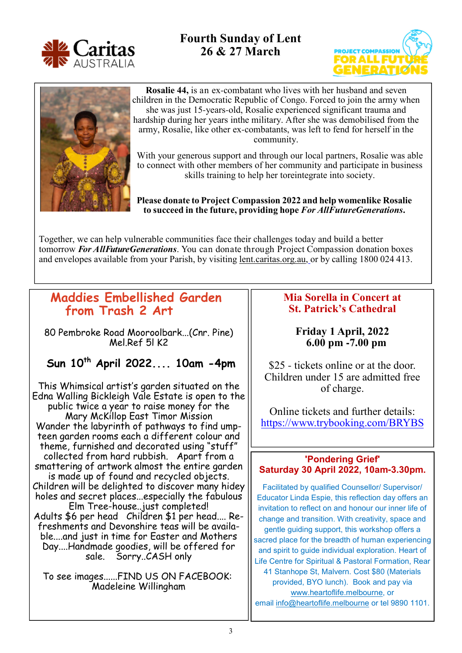

**Fourth Sunday of Lent 26 & 27 March**





**Rosalie 44,** is an ex-combatant who lives with her husband and seven children in the Democratic Republic of Congo. Forced to join the army when she was just 15-years-old, Rosalie experienced significant trauma and hardship during her years in the military. After she was demobilised from the army, Rosalie, like other ex-combatants, was left to fend for herself in the community.

With your generous support and through our local partners, Rosalie was able to connect with other members of her community and participate in business skills training to help her toreintegrate into society.

#### **Please donate to Project Compassion 2022 and help womenlike Rosalie to succeed in the future, providing hope** *For All FutureGenerations***.**

Together, we can help vulnerable communities face their challenges today and build a better tomorrow *For AllFuture Generations*. You can donate through Project Compassion donation boxes and envelopes available from your Parish, by visiting lent.caritas.org.au, or by calling 1800 024 413.

### **Maddies Embellished Garden from Trash 2 Art**

80 Pembroke Road Mooroolbark...(Cnr. Pine) Mel.Ref 5l K2

### **Sun 10th April 2022.... 10am -4pm**

This Whimsical artist's garden situated on the Edna Walling Bickleigh Vale Estate is open to the public twice a year to raise money for the Mary McKillop East Timor Mission Wander the labyrinth of pathways to find umpteen garden rooms each a different colour and theme, furnished and decorated using "stuff" collected from hard rubbish. Apart from a smattering of artwork almost the entire garden is made up of found and recycled objects. Children will be delighted to discover many hidey holes and secret places...especially the fabulous Elm Tree-house..just completed! Adults \$6 per head Children \$1 per head.... Refreshments and Devonshire teas will be available....and just in time for Easter and Mothers Day....Handmade goodies, will be offered for sale. Sorry..CASH only

To see images......FIND US ON FACEBOOK: Madeleine Willingham

### **Mia Sorella in Concert at St. Patrick's Cathedral**

**Friday 1 April, 2022 6.00 pm -7.00 pm** 

\$25 - tickets online or at the door. Children under 15 are admitted free of charge.

Online tickets and further details: https://www.trybooking.com/BRYBS

#### **'Pondering Grief' Saturday 30 April 2022, 10am-3.30pm.**

Facilitated by qualified Counsellor/ Supervisor/ Educator Linda Espie, this reflection day offers an invitation to reflect on and honour our inner life of change and transition. With creativity, space and gentle guiding support, this workshop offers a sacred place for the breadth of human experiencing and spirit to guide individual exploration. Heart of Life Centre for Spiritual & Pastoral Formation, Rear 41 Stanhope St, Malvern. Cost \$80 (Materials provided, BYO lunch). Book and pay via www.heartoflife.melbourne, or email info@heartoflife.melbourne or tel 9890 1101.